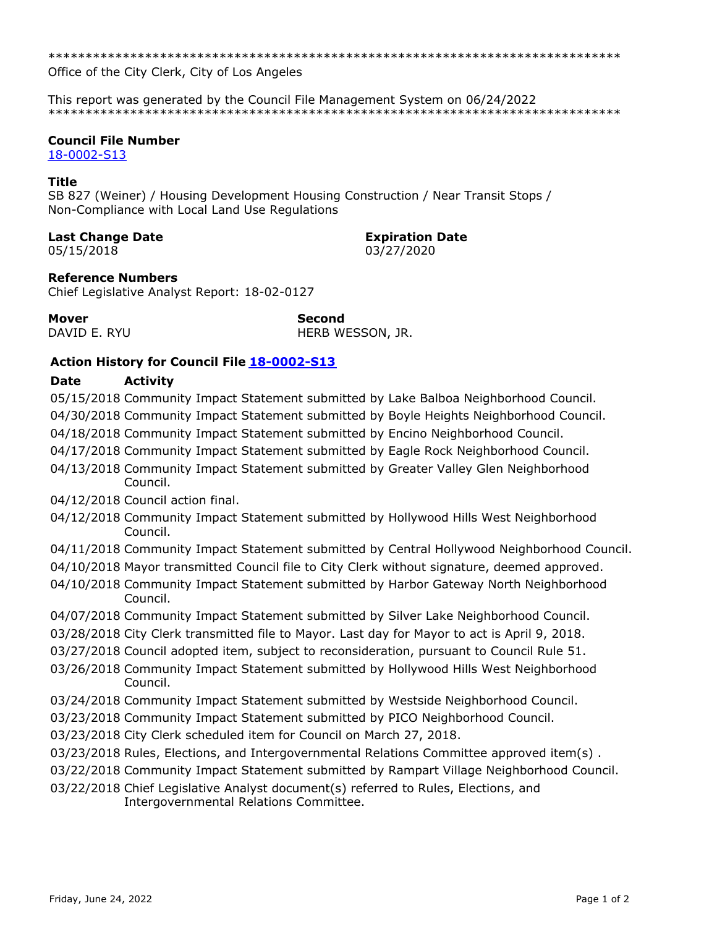Office of the City Clerk, City of Los Angeles

This report was generated by the Council File Management System on 06/24/2022 

# **Council File Number**

18-0002-S13

# **Title**

SB 827 (Weiner) / Housing Development Housing Construction / Near Transit Stops / Non-Compliance with Local Land Use Regulations

# **Last Change Date**

05/15/2018

**Expiration Date** 03/27/2020

**Reference Numbers** 

Chief Legislative Analyst Report: 18-02-0127

**Mover** DAVID E. RYU **Second** HERB WESSON, JR.

# **Action History for Council File 18-0002-S13**

#### **Date Activity**

05/15/2018 Community Impact Statement submitted by Lake Balboa Neighborhood Council. 04/30/2018 Community Impact Statement submitted by Boyle Heights Neighborhood Council.

04/18/2018 Community Impact Statement submitted by Encino Neighborhood Council.

04/17/2018 Community Impact Statement submitted by Eagle Rock Neighborhood Council.

04/13/2018 Community Impact Statement submitted by Greater Valley Glen Neighborhood Council.

04/12/2018 Council action final.

- 04/12/2018 Community Impact Statement submitted by Hollywood Hills West Neighborhood Council.
- 04/11/2018 Community Impact Statement submitted by Central Hollywood Neighborhood Council.
- 04/10/2018 Mayor transmitted Council file to City Clerk without signature, deemed approved.
- 04/10/2018 Community Impact Statement submitted by Harbor Gateway North Neighborhood Council.
- 04/07/2018 Community Impact Statement submitted by Silver Lake Neighborhood Council.
- 03/28/2018 City Clerk transmitted file to Mayor. Last day for Mayor to act is April 9, 2018.
- 03/27/2018 Council adopted item, subject to reconsideration, pursuant to Council Rule 51.
- 03/26/2018 Community Impact Statement submitted by Hollywood Hills West Neighborhood Council.
- 03/24/2018 Community Impact Statement submitted by Westside Neighborhood Council.
- 03/23/2018 Community Impact Statement submitted by PICO Neighborhood Council.
- 03/23/2018 City Clerk scheduled item for Council on March 27, 2018.
- 03/23/2018 Rules, Elections, and Intergovernmental Relations Committee approved item(s).

03/22/2018 Community Impact Statement submitted by Rampart Village Neighborhood Council.

03/22/2018 Chief Legislative Analyst document(s) referred to Rules, Elections, and Intergovernmental Relations Committee.